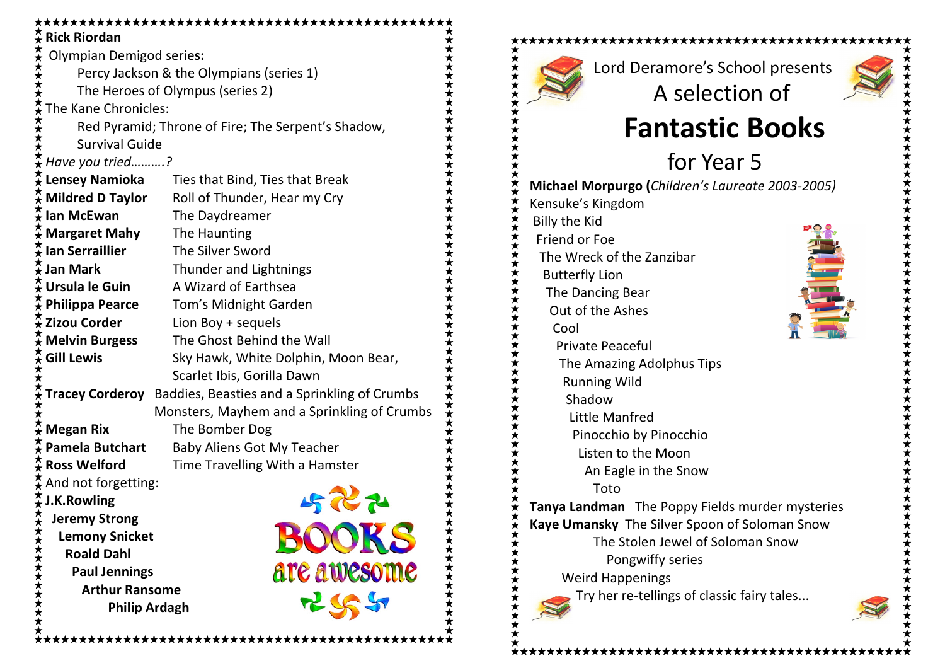|        | $\frac{\pi}{\mathbf{A}}$ Rick Riordan              |                                                                           |  |  |  |  |  |
|--------|----------------------------------------------------|---------------------------------------------------------------------------|--|--|--|--|--|
|        | <b>Olympian Demigod series:</b>                    |                                                                           |  |  |  |  |  |
| ★★★★★★ | Percy Jackson & the Olympians (series 1)           |                                                                           |  |  |  |  |  |
|        | The Heroes of Olympus (series 2)                   |                                                                           |  |  |  |  |  |
|        | ★★<br>The Kane Chronicles:                         |                                                                           |  |  |  |  |  |
| ★★★★   | Red Pyramid; Throne of Fire; The Serpent's Shadow, |                                                                           |  |  |  |  |  |
|        | <b>Survival Guide</b>                              |                                                                           |  |  |  |  |  |
|        | $\star$ Have you tried?                            |                                                                           |  |  |  |  |  |
|        |                                                    | $\frac{\star}{\mathbf{A}}$ Lensey Namioka Ties that Bind, Ties that Break |  |  |  |  |  |
|        |                                                    | $\frac{\pi}{4}$ Mildred D Taylor Roll of Thunder, Hear my Cry             |  |  |  |  |  |
|        | $\frac{\overline{x}}{\overline{x}}$ lan McEwan     | The Daydreamer                                                            |  |  |  |  |  |
|        | $\hat{\star}$ Margaret Mahy                        | The Haunting                                                              |  |  |  |  |  |
|        | $\frac{1}{\mathbf{X}}$ lan Serraillier             | The Silver Sword                                                          |  |  |  |  |  |
|        | <del>茶</del> Jan Mark                              | Thunder and Lightnings                                                    |  |  |  |  |  |
|        | $\frac{1}{\mathbf{\mathsf{t}}}$ Ursula le Guin     | A Wizard of Earthsea                                                      |  |  |  |  |  |
|        | $\tilde{\star}$ Philippa Pearce                    | Tom's Midnight Garden                                                     |  |  |  |  |  |
|        | <b>* Zizou Corder</b>                              | Lion Boy + sequels                                                        |  |  |  |  |  |
|        | $\hat{\star}$ Melvin Burgess                       | The Ghost Behind the Wall                                                 |  |  |  |  |  |
|        | $\frac{1}{2}$ Gill Lewis                           | Sky Hawk, White Dolphin, Moon Bear,                                       |  |  |  |  |  |
|        |                                                    | Scarlet Ibis, Gorilla Dawn                                                |  |  |  |  |  |
|        |                                                    | <b>Tracey Corderoy</b> Baddies, Beasties and a Sprinkling of Crumbs       |  |  |  |  |  |
|        | Monsters, Mayhem and a Sprinkling of Crumbs        |                                                                           |  |  |  |  |  |
|        | <b>★ Megan Rix</b>                                 | The Bomber Dog                                                            |  |  |  |  |  |
|        | <b>Pamela Butchart</b>                             | <b>Baby Aliens Got My Teacher</b>                                         |  |  |  |  |  |
|        | $\frac{\pi}{4}$ Ross Welford                       | Time Travelling With a Hamster                                            |  |  |  |  |  |
|        | $\frac{1}{\lambda}$ And not forgetting:            |                                                                           |  |  |  |  |  |
|        | $\frac{\pi}{4}$ J.K. Rowling                       |                                                                           |  |  |  |  |  |
|        | <b>Jeremy Strong</b>                               |                                                                           |  |  |  |  |  |
|        | <b>Lemony Snicket</b>                              | BOOKS                                                                     |  |  |  |  |  |
|        | <b>Roald Dahl</b>                                  |                                                                           |  |  |  |  |  |
|        | <b>Paul Jennings</b>                               | are awesome                                                               |  |  |  |  |  |
|        | <b>Arthur Ransome</b>                              | 755                                                                       |  |  |  |  |  |
|        | 《文文文文文文文文文文文<br><b>Philip Ardagh</b>               |                                                                           |  |  |  |  |  |
|        |                                                    |                                                                           |  |  |  |  |  |

\*\*\*\*\*\*\*\*\*\*\*\*\*\*\*\*\*\*\*\*\*\*\*\*\*

Lord Deramore's School presents A selection of

\*\*\*\*\*\*\*\*\*\*\*\*\*\*\*\*\*\*\*\*\*\*\*\*\*\*\*\*\*\*\*\*\*\*\*\*\*\*



Fantastic Books

 for Year 5Michael Morpurgo (Children's Laureate 2003-2005)

Kensuke's Kingdom Billy the Kid Friend or Foe The Wreck of the Zanzibar Butterfly Lion The Dancing Bear Out of the Ashes Cool Private Peaceful The Amazing Adolphus Tips Running Wild Shadow Little Manfred Pinocchio by Pinocchio Listen to the Moon An Eagle in the Snow Toto**Tanya Landman** The Poppy Fields murder mysteries Kaye Umansky The Silver Spoon of Soloman Snow The Stolen Jewel of Soloman Snow Pongwiffy series

Weird Happenings

Try her re-tellings of classic fairy tales...

\*\*\*\*\*\*\*\*\*\*\*\*\*\*\*\*\*\*\*\*\*\*\*\*\*\*\*\*

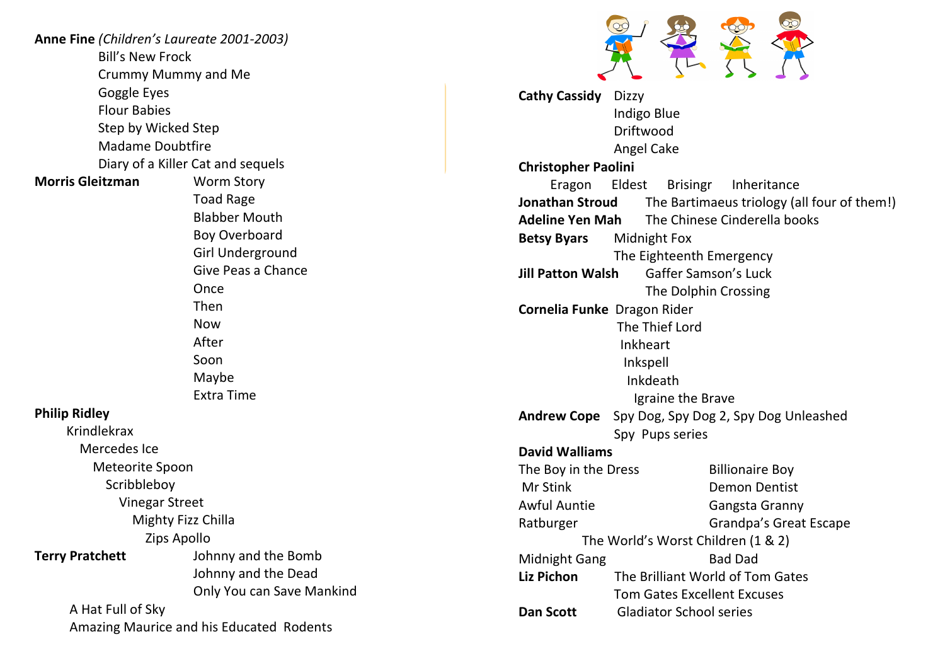| Anne Fine (Children's Laureate 2001-2003) |                                   |  |  |  |
|-------------------------------------------|-----------------------------------|--|--|--|
| <b>Bill's New Frock</b>                   |                                   |  |  |  |
| Crummy Mummy and Me                       |                                   |  |  |  |
| Goggle Eyes                               |                                   |  |  |  |
| <b>Flour Babies</b>                       |                                   |  |  |  |
| Step by Wicked Step                       |                                   |  |  |  |
| <b>Madame Doubtfire</b>                   |                                   |  |  |  |
|                                           | Diary of a Killer Cat and sequels |  |  |  |
| <b>Morris Gleitzman</b>                   | <b>Worm Story</b>                 |  |  |  |
|                                           | <b>Toad Rage</b>                  |  |  |  |
|                                           | <b>Blabber Mouth</b>              |  |  |  |
|                                           | <b>Boy Overboard</b>              |  |  |  |
|                                           | <b>Girl Underground</b>           |  |  |  |
|                                           | Give Peas a Chance                |  |  |  |
|                                           | Once                              |  |  |  |
|                                           | Then                              |  |  |  |
|                                           | <b>Now</b>                        |  |  |  |
|                                           | After                             |  |  |  |
|                                           | Soon                              |  |  |  |
|                                           | Maybe                             |  |  |  |
|                                           | <b>Extra Time</b>                 |  |  |  |
| <b>Philip Ridley</b>                      |                                   |  |  |  |
| <b>Krindlekrax</b>                        |                                   |  |  |  |
| Mercedes Ice                              |                                   |  |  |  |
| Meteorite Spoon                           |                                   |  |  |  |
| Scribbleboy                               |                                   |  |  |  |
| <b>Vinegar Street</b>                     |                                   |  |  |  |
| Mighty Fizz Chilla                        |                                   |  |  |  |
| Zips Apollo                               |                                   |  |  |  |
| <b>Terry Pratchett</b>                    | Johnny and the Bomb               |  |  |  |
|                                           | Johnny and the Dead               |  |  |  |
|                                           | Only You can Save Mankind         |  |  |  |
| A Hat Full of Sky                         |                                   |  |  |  |
| Amazing Maurice and his Educated Rodents  |                                   |  |  |  |

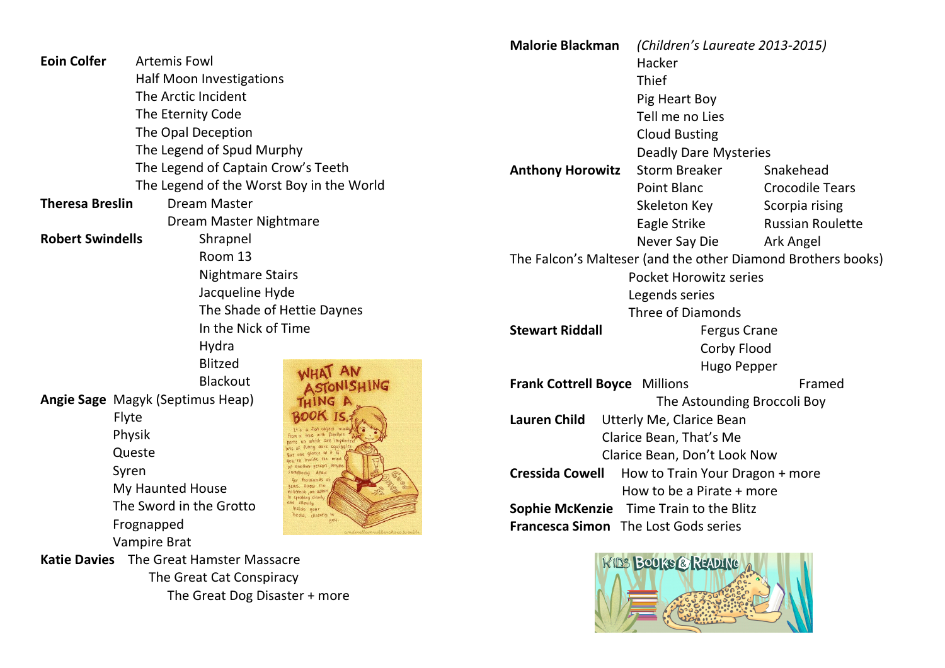|                                                                                                             |                                          |                                                    | <b>Malorie Blackman</b>              | (Children's Laureate 2013-2015)                              |                         |  |
|-------------------------------------------------------------------------------------------------------------|------------------------------------------|----------------------------------------------------|--------------------------------------|--------------------------------------------------------------|-------------------------|--|
| <b>Eoin Colfer</b><br><b>Artemis Fowl</b>                                                                   |                                          |                                                    |                                      | Hacker                                                       |                         |  |
| <b>Half Moon Investigations</b>                                                                             |                                          |                                                    |                                      | Thief                                                        |                         |  |
| The Arctic Incident                                                                                         |                                          |                                                    |                                      | Pig Heart Boy                                                |                         |  |
|                                                                                                             | The Eternity Code                        |                                                    |                                      | Tell me no Lies                                              |                         |  |
|                                                                                                             | The Opal Deception                       |                                                    |                                      | <b>Cloud Busting</b>                                         |                         |  |
|                                                                                                             | The Legend of Spud Murphy                |                                                    |                                      | <b>Deadly Dare Mysteries</b>                                 |                         |  |
| The Legend of Captain Crow's Teeth                                                                          |                                          | <b>Anthony Horowitz</b>                            | <b>Storm Breaker</b>                 | Snakehead                                                    |                         |  |
|                                                                                                             | The Legend of the Worst Boy in the World |                                                    |                                      | <b>Point Blanc</b>                                           | <b>Crocodile Tears</b>  |  |
| <b>Dream Master</b><br><b>Theresa Breslin</b>                                                               |                                          |                                                    |                                      | Skeleton Key                                                 | Scorpia rising          |  |
|                                                                                                             | Dream Master Nightmare                   |                                                    |                                      | Eagle Strike                                                 | <b>Russian Roulette</b> |  |
| <b>Robert Swindells</b>                                                                                     | Shrapnel                                 |                                                    |                                      | Never Say Die                                                | Ark Angel               |  |
|                                                                                                             | Room 13                                  |                                                    |                                      | The Falcon's Malteser (and the other Diamond Brothers books) |                         |  |
| <b>Nightmare Stairs</b><br>Jacqueline Hyde                                                                  |                                          |                                                    |                                      | <b>Pocket Horowitz series</b>                                |                         |  |
|                                                                                                             |                                          |                                                    |                                      | Legends series                                               |                         |  |
|                                                                                                             |                                          | The Shade of Hettie Daynes                         |                                      | <b>Three of Diamonds</b>                                     |                         |  |
| In the Nick of Time                                                                                         |                                          | <b>Stewart Riddall</b>                             | <b>Fergus Crane</b>                  |                                                              |                         |  |
| Hydra                                                                                                       |                                          |                                                    | Corby Flood                          |                                                              |                         |  |
| <b>Blitzed</b>                                                                                              |                                          |                                                    | <b>Hugo Pepper</b>                   |                                                              |                         |  |
|                                                                                                             | <b>Blackout</b>                          | NISHING                                            | <b>Frank Cottrell Boyce Millions</b> |                                                              | Framed                  |  |
| Angie Sage Magyk (Septimus Heap)<br>Flyte<br>Physik<br>Queste<br>Syren<br>My Haunted House<br>liconia an au |                                          |                                                    |                                      | The Astounding Broccoli Boy                                  |                         |  |
|                                                                                                             |                                          |                                                    | <b>Lauren Child</b>                  | Utterly Me, Clarice Bean                                     |                         |  |
|                                                                                                             |                                          |                                                    |                                      | Clarice Bean, That's Me                                      |                         |  |
|                                                                                                             |                                          |                                                    |                                      | Clarice Bean, Don't Look Now                                 |                         |  |
|                                                                                                             |                                          |                                                    | <b>Cressida Cowell</b>               | How to Train Your Dragon + more                              |                         |  |
|                                                                                                             |                                          |                                                    |                                      | How to be a Pirate + more                                    |                         |  |
|                                                                                                             | The Sword in the Grotto                  | d silentis<br>inside your<br>head, directly to you | <b>Sophie McKenzie</b>               | Time Train to the Blitz                                      |                         |  |
|                                                                                                             | Frognapped                               |                                                    | Francesca Simon The Lost Gods series |                                                              |                         |  |
| Vampire Brat                                                                                                |                                          |                                                    |                                      |                                                              |                         |  |
|                                                                                                             | Katie Davies The Great Hamster Massacre  |                                                    |                                      | KIDS BOOKS@READING                                           |                         |  |
| The Great Cat Conspiracy<br>The Great Dog Disaster + more                                                   |                                          |                                                    |                                      |                                                              |                         |  |
|                                                                                                             |                                          |                                                    |                                      |                                                              |                         |  |

**BARRY AND CARD**